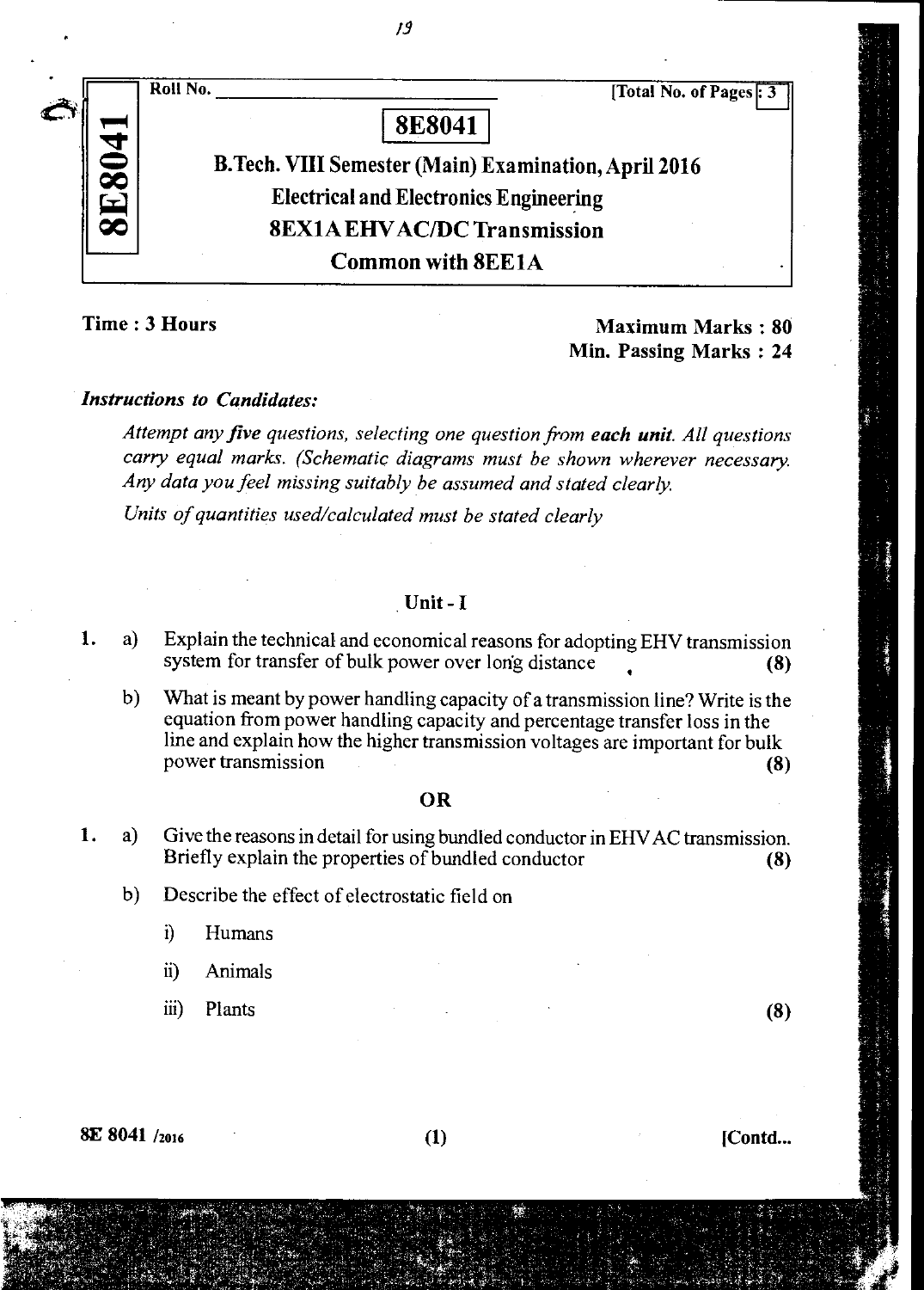

*/9* 

# Time : 3 Hours Maximum Marks : 80 Min. Passing Marks : 24

### *Instructions to Candidates:*

*Attempt any five questions, selecting one question from each unit. All questions carry equal marks. (Schematic diagrams must be shown wherever necessary. Any data you feel missing suitably be assumed and stated clearly.* 

*Units of quantities used/calculated must be stated clearly* 

### Unit - I

- 1. a) Explain the technical and economical reasons for adopting EHV transmission system for transfer of bulk power over long distance (8)
	- b) What is meant by power handling capacity of a transmission line? Write is the equation from power handling capacity and percentage transfer loss in the line and explain how the higher transmission voltages are important for bulk power transmission (8)

### OR

- 1. a) Give the reasons in detail for using bundled conductor in EHV AC transmission. Briefly explain the properties of bundled conductor (8)
	- b) Describe the effect of electrostatic field on
		- i) Humans
		- ii) Animals
		- iii) Plants (8)

 $8E\ 8041\ /_{2016}$  [Contd...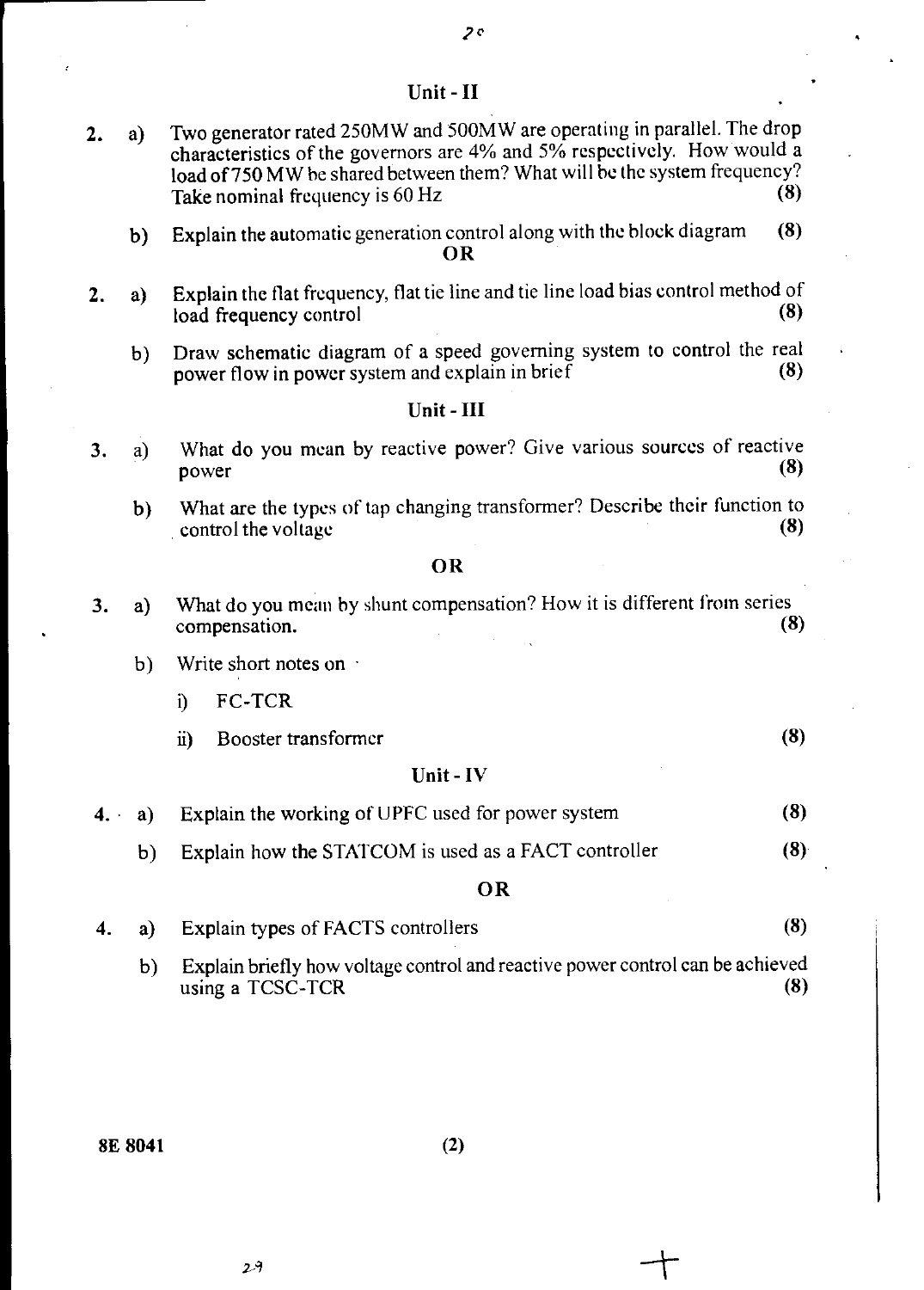### Unit- **II**

- 2. a) Two generator rated 250MW and 500MW are operating in parallel. The drop characteristics of the governors are 4% and 5% respectively. How would a load of 750 **MW** be shared between them? What will he the system frequency? Take nominal frequency is 60 Hz (8)
	- b) Explain the automatic generation control along with the block diagram (8) **OR**
- 2. a) Explain the flat frequency, flat tie line and tie line load bias control method of load frequency control (8) load frequency control
	- b) Draw schematic diagram of a speed governing system to control the real nower flow in nower system and explain in brief (8) power flow in power system and explain in brief

# Unit - **III**

- 3. a) What do you mean by reactive power? Give various sources of reactive nower (8) power  $(8)$ 
	- b) What are the types of tap changing transformer? Describe their function to control the voltage (8) control the voltage

### **OR**

- 3. a) What do you mean by shunt compensation? How it is different from series compensation. (8)
	- b) Write short notes on  $\cdot$ 
		- i) FC-TCR
		- Booster transformer (8)  $\ddot{u}$

### Unit - IV

- $4. \cdot a)$ Explain the working of UPFC used for power system (8)
	- b) Explain how the STATCOM is used as a FACT controller (8)

### **OR**

- 4. a) Explain types of FACTS controllers (8)
	- b) Explain briefly how voltage control and reactive power control can be achieved using a  $TCSC-TCR$  (8)

8E **8041 (2)** 

 $2\lambda$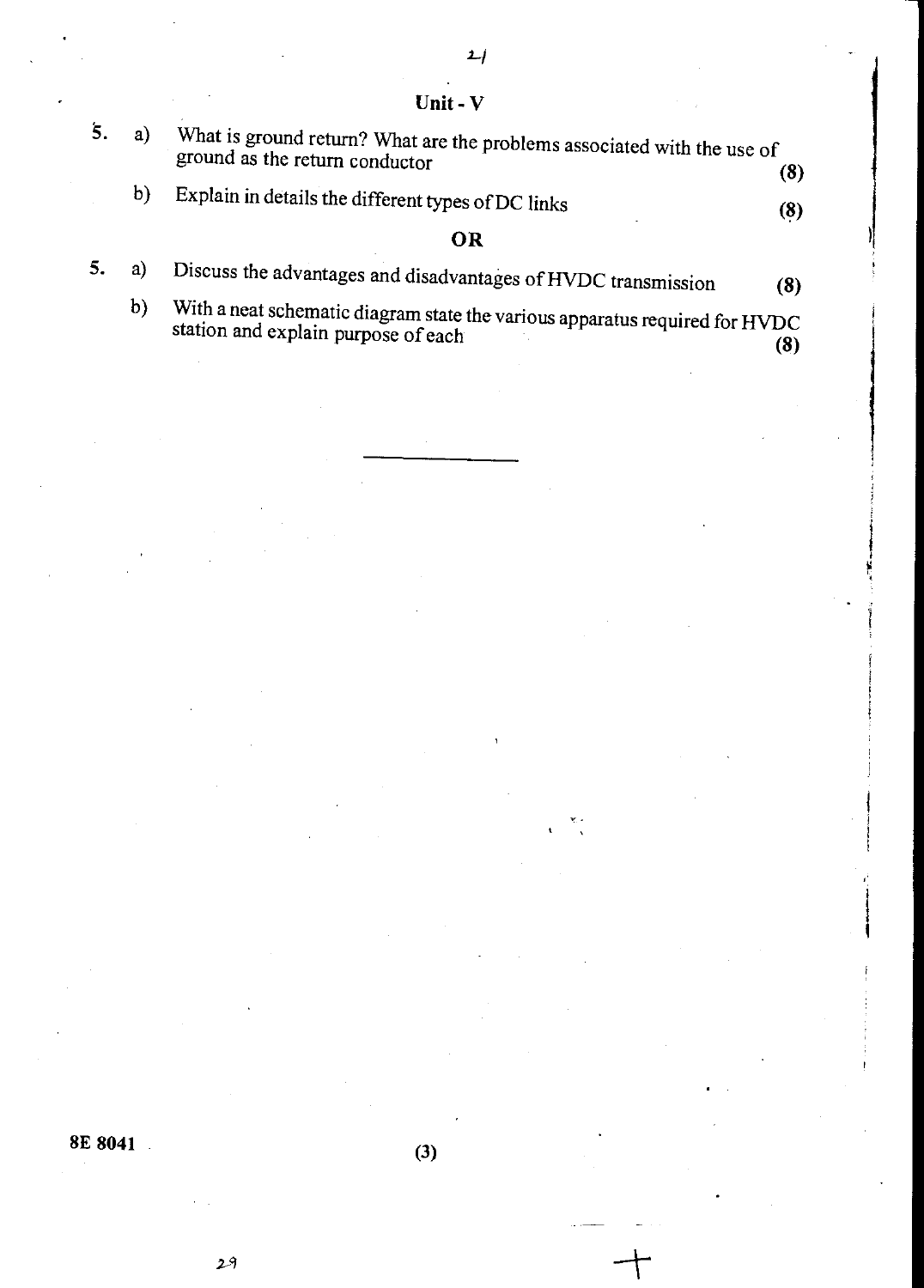5. a) What is ground return? What are the problems associated with the use of ground as the return conductor **(8) (8)** b) Explain in details the different types of DC links (8) **OR**  5. a) Discuss the advantages and disadvantages of HVDC transmission **(8)** 

Unit - V

 $\psi$  with a neat schematic diagram state the various apparatus required for HVDC station and explain purpose of each **(8) (8) (8) (8) (8) (8) (8) (8) (8) (8) (8) (8) (8) (8) (8) (8) (8) (8) (8) (8) (8) (8) (8) (8) (8) (8) (8) (8) (8) (8) (8)**

**8E 8041 (3)**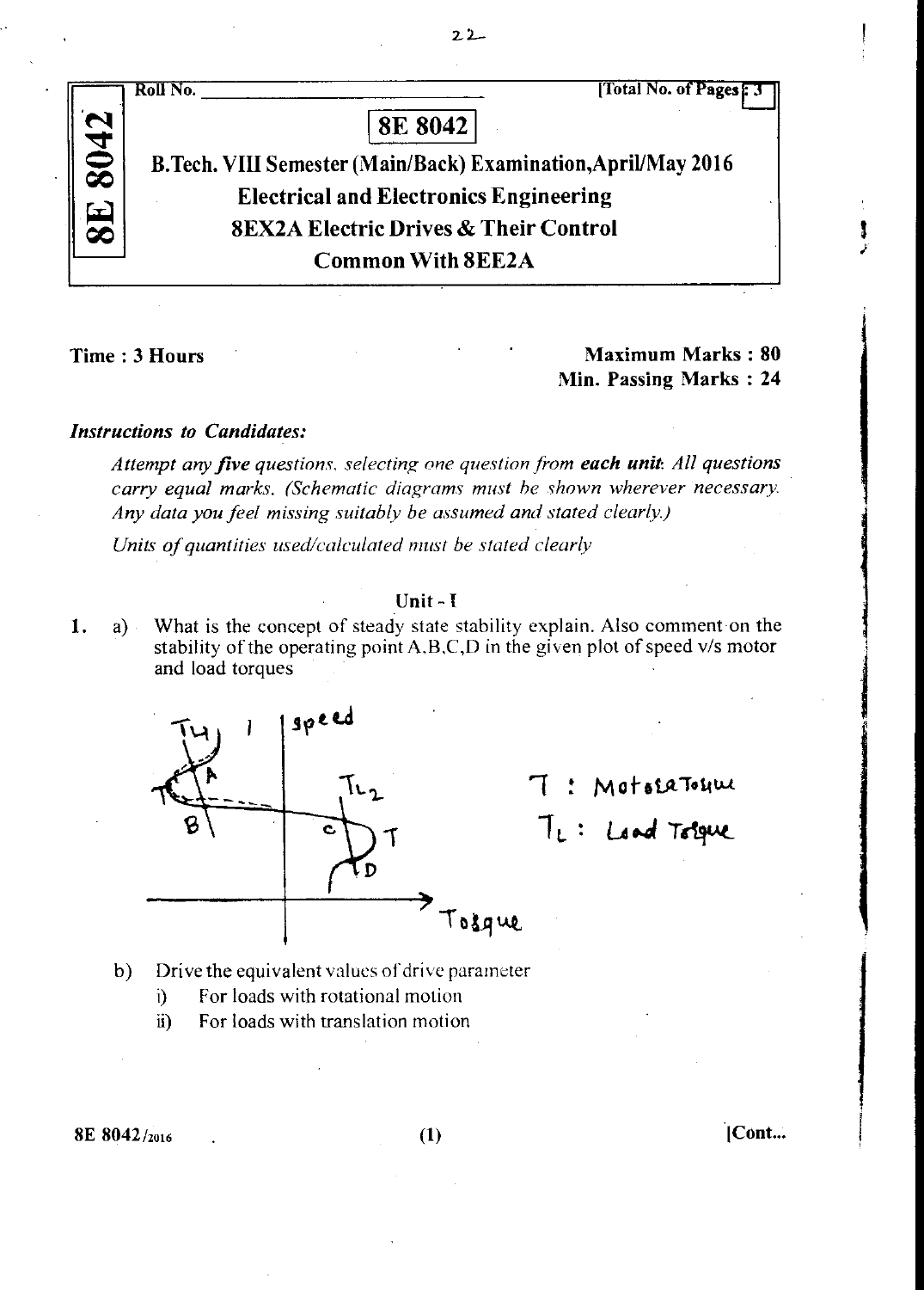Roll No. [Total No. of Pages ]  $\tilde{\mathbf{Q}}$ **00 W.4 CO 8E 8042**  B.Tech. VIII Semester (Main/Back) Examination, April/May 2016 Electrical and Electronics Engineering 8EX2A Electric Drives & Their Control Common With 8EE2A

 $22-$ 

Time : 3 Hours **Maximum Marks : 80 Maximum Marks** : 80 Min. Passing Marks : **24** 

## *Instructions to Candidates:*

*Attempt any five questions, selecting one question from each unit: All questions carry equal marks. (Schematic diagrams must he shown wherever necessary Any data you feel missing suitably be assumed and stated clearly)* 

*Units of quantities used/calculated must be stated clearly* 

# Unit - I

1. What is the concept of steady state stability explain. Also comment on the stability of the operating point A,B,C,D in the given plot of speed v/s motor and load torques



MotosaTohue **LA•41** *Tertre.\_* 

- b) Drive the equivalent values of drive parameter
	- i) For loads with rotational motion
	- ii) For loads with translation motion

 $8E\ 8042/_{2016}$  [Cont...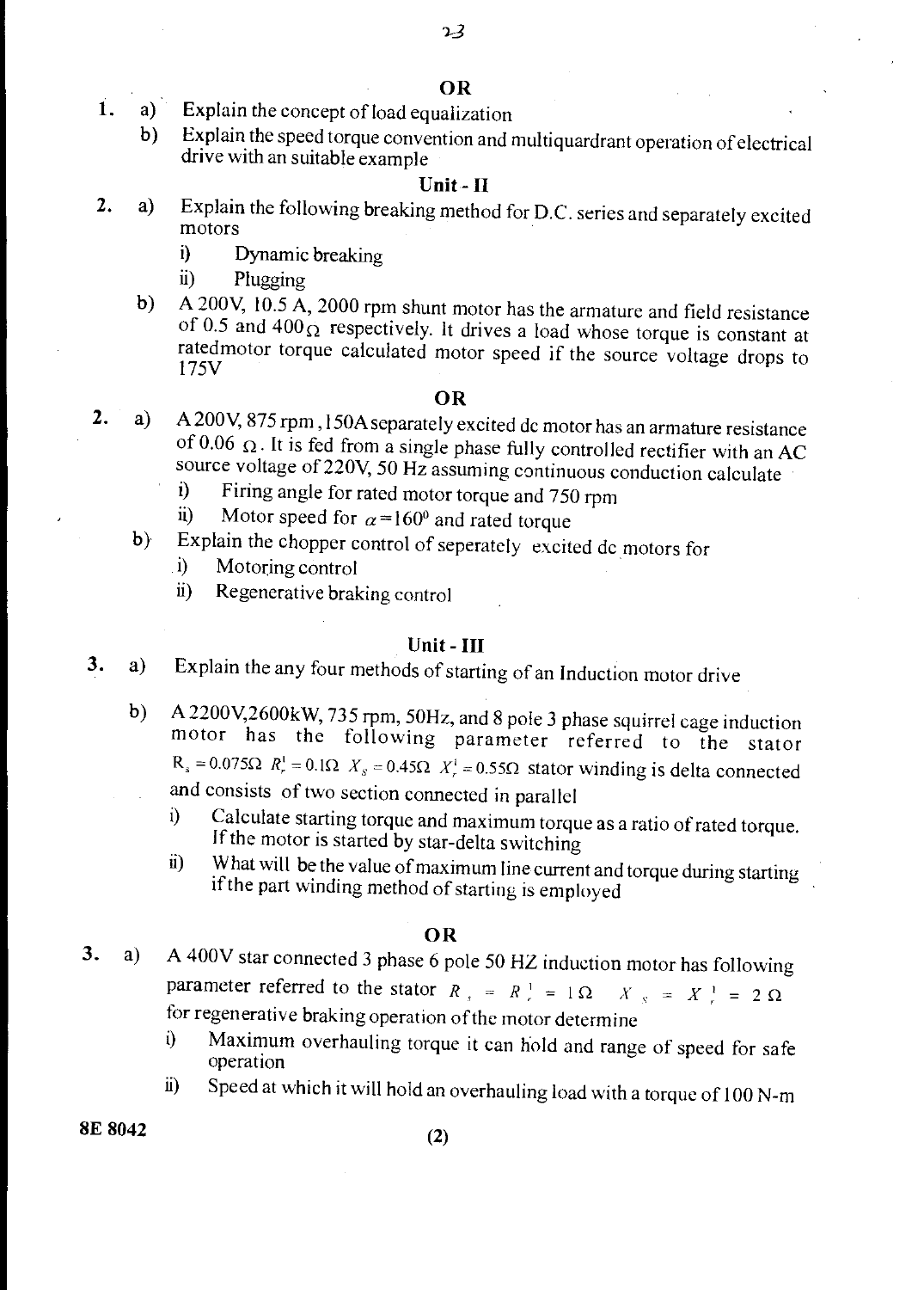- 1. a) Explain the concept of load equalization
	- b) Explain the speed torque convention and multiquardrant operation of electrical drive with an suitable example

### Unit- II

- 2. a) Explain the following breaking method for D.C. series and separately excited motors
	- i) Dynamic breaking
	- ii) Plugging
	- b) A 200V, 10.5 A, 2000 rpm shunt motor has the armature and field resistance of 0.5 and  $400<sub>\Omega</sub>$  respectively. It drives a load whose torque is constant at ratedmotor torque calculated motor speed if the source voltage drops to 175V

### OR

- 2. a) A 200V, 875 rpm, 150A separately excited dc motor has an armature resistance of 0.06  $\Omega$ . It is fed from a single phase fully controlled rectifier with an AC source voltage of 220V, 50 Hz assuming continuous conduction calculate<br>i) Firing angle for rated motor torque and  $750 \text{ mm}$ .
	- i) Firing angle for rated motor torque and 750 rpm<br>ii) Motor speed for  $\alpha = 160^\circ$  and rated torque
	- Motor speed for  $\alpha = 160^\circ$  and rated torque
	- b) Explain the chopper control of seperately excited dc motors for
		- i) Motoring control
		- ii) Regenerative braking control

### Unit - III

- 3. a) Explain the any four methods of starting of an Induction motor drive
	- b) A 2200V,2600kW, 735 rpm, 50Hz, and 8 pole 3 phase squirrel cage induction motor has the following parameter referred to the stator  $R_s = 0.075\Omega$   $R_r^1 = 0.1\Omega$   $X_s = 0.45\Omega$   $X_r^1 = 0.55\Omega$  stator winding is delta connected and consists of two section connected in parallel
		- - i) Calculate starting torque and maximum torque as a ratio of rated torque. If the motor is started by star-delta switching
			- ii) What will be the value of maximum line current and torque during starting if the part winding method of starting is employed

### OR

- 3. a) A 400V star connected 3 phase 6 pole 50 HZ induction motor has following parameter referred to the stator  $R_s = R_s^+ = 1 \Omega$   $X_s = X_s^+ = 2 \Omega$ for regenerative braking operation of the motor determine
	- i) Maximum overhauling torque it can hold and range of speed for safe operation
	- ii) Speed at which it will hold an overhauling load with a torque of 100 N-m

 $8E 8042$  (2)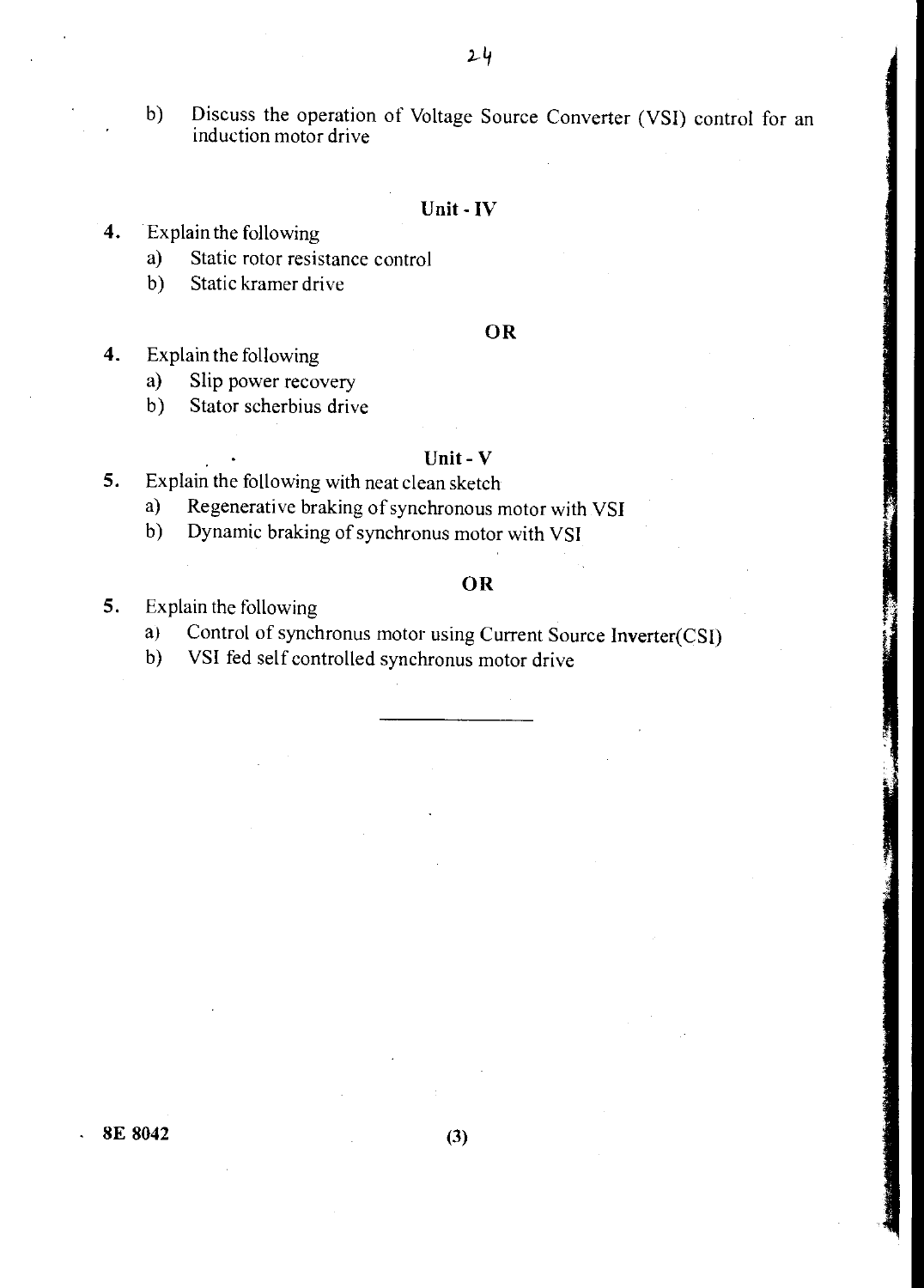b) Discuss the operation of Voltage Source Converter (VSI) control for an induction motor drive

### Unit - IV

- 4. Explain the following
	- a) Static rotor resistance control
	- b) Static kramer drive

### OR

- 4. Explain the following
	- a) Slip power recovery
	- b) Stator scherbius drive

# Unit - V

- 5. Explain the following with neat clean sketch
	- a) Regenerative braking of synchronous motor with VSI
	- b) Dynamic braking of synchronus motor with VSI

# OR

- 5. Explain the following
	- a) Control of synchronus motor using Current Source Inverter(CSI)
	- b) VSI fed self controlled synchronus motor drive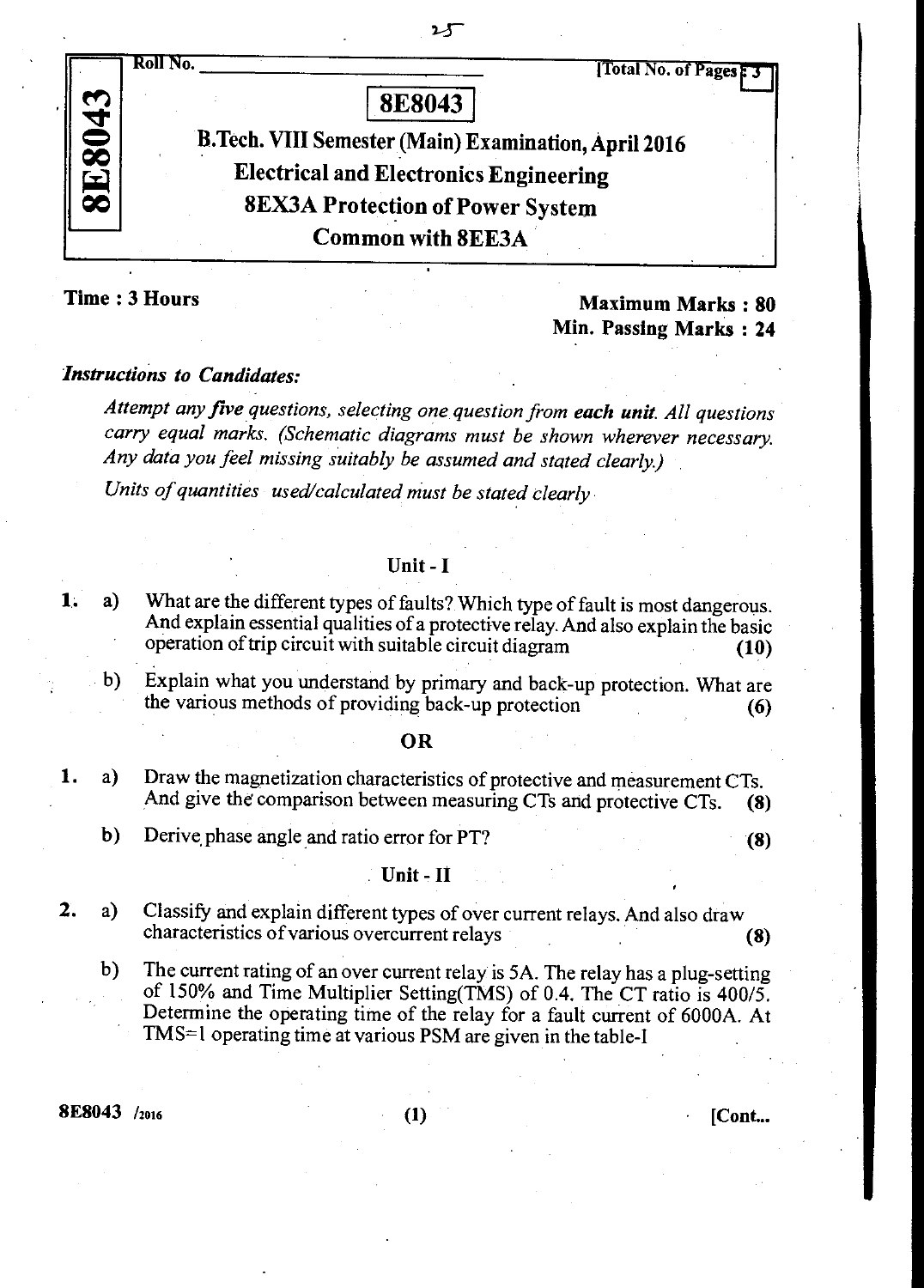

圢

**Time : 3 Hours Maximum Marks : 80 Maximum Marks : 80 Min. Passing Marks : 24** 

# *Instructions to Candidates:*

*Attempt any five questions, selecting one question from each unit. All questions carry equal marks. (Schematic diagrams must be shown wherever necessary. Any data you feel missing suitably be assumed and stated clearly)* 

*Units of quantities used/calculated must be stated clearly* 

### **Unit - I**

- **1. a)** What are the different types of faults? Which type of fault is most dangerous. And explain essential qualities of a protective relay. And also explain the basic operation of trip circuit with suitable circuit diagram **(10)** 
	- b) Explain what you understand by primary and back-up protection. What are the various methods of providing back-up protection **(6)**

### **OR**

- 1. a) Draw the magnetization characteristics of protective and measurement CTs. And give the comparison between measuring CTs and protective CTs. **(8)** 
	- **b)** Derive,phase angle and ratio error for PT? **(8)**

### **Unit - It**

- 2. a) Classify and explain different types of over current relays. And also draw characteristics of various overcurrent relays **(8)** 
	- **b)** The current rating of an over current relay is 5A. The relay has a plug-setting of 150% and Time Multiplier Setting(TMS) of 0.4. The CT ratio is 400/5. Determine the operating time of the relay for a fault current of 6000A. At TMS=1 operating time at various PSM are given in the table-I

8E8043 /2016 (1) • [Cont...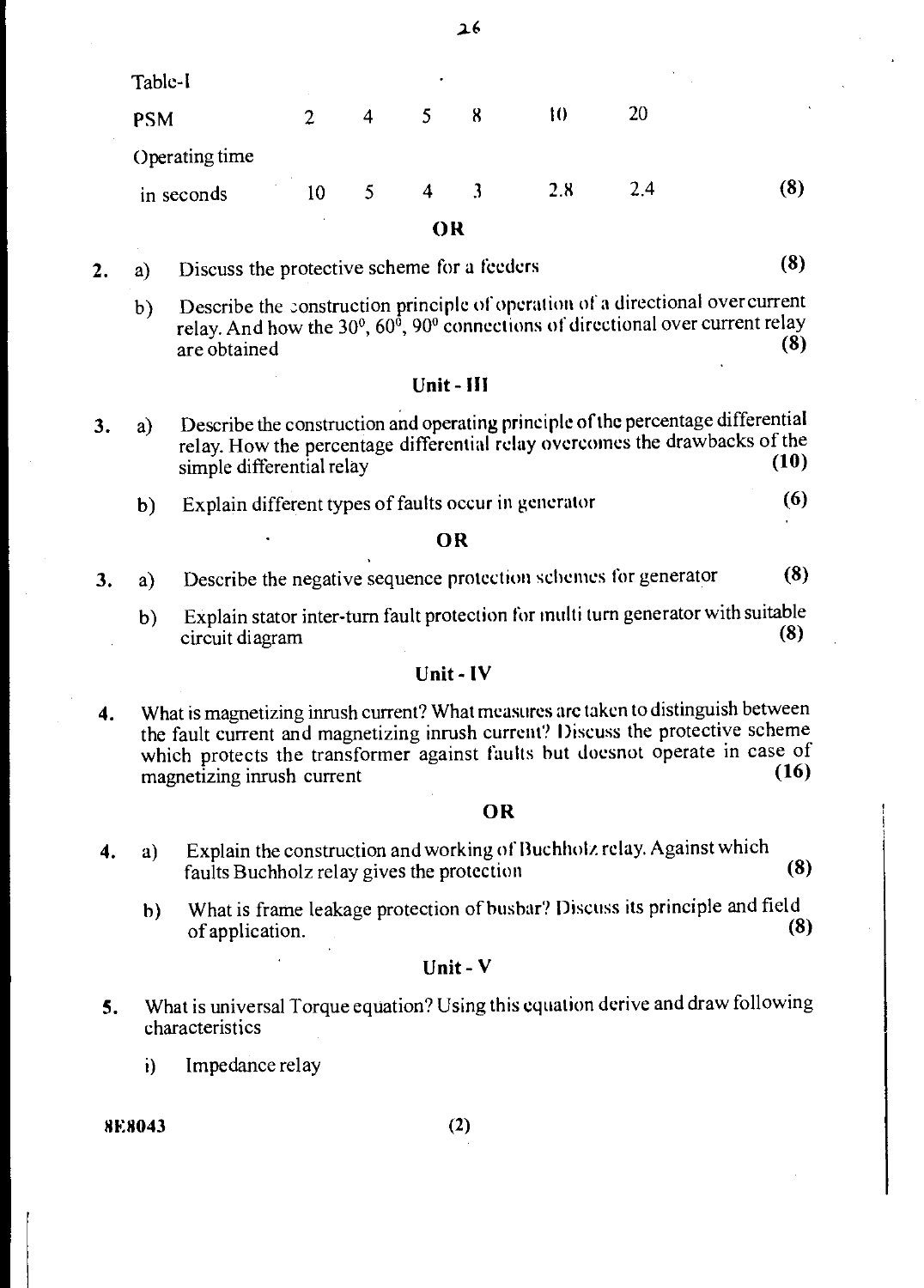Table-I PSM 2 4 5 8 10 20 Operating time in seconds 10 5 4 3 2.8 2.4 **(8)**  O **R** 

42

- **2. a**) Discuss the protective scheme for a feeders (8)
	- b) Describe the construction principle of operation of a directional over current relay. And how the 30<sup>°</sup>, 60<sup> $\delta$ </sup>, 90<sup>°</sup> connections of directional over current relay are obtained **(8) (8)**

### **Unit - III**

- **3. a)** Describe the construction and operating **principle of the** percentage differential relay. How the percentage differential relay overcomes the drawbacks of the simple differential relay (10)
	- b) Explain different types of faults occur in generator **(6)**

### **• OR**

- **3.** a) Describe the negative sequence protection schemes for generator **(8)** 
	- b) Explain stator inter-turn fault protection for multi turn generator with suitable circuit diagram (8) circuit diagram

### **Unit - IV**

**4. What** is magnetizing inrush current? What measures are taken to distinguish between the fault current and magnetizing inrush current? Discuss the protective scheme which protects the transformer against faults but doesnot operate in case of magnetizing inpush current magnetizing inrush current **(16)** 

### **OR**

- **4.** a) Explain the construction and working of Buchholz relay. Against which faults Buchholz relay gives the protection **(8)** 
	- h) What is frame leakage protection of busbar? Discuss its principle and field of application. **(8)**

### **Unit - V**

- **5. What** is universal Torque equation? Using this equation derive and draw following characteristics
	- i) Impedance relay

**8E8043** (2)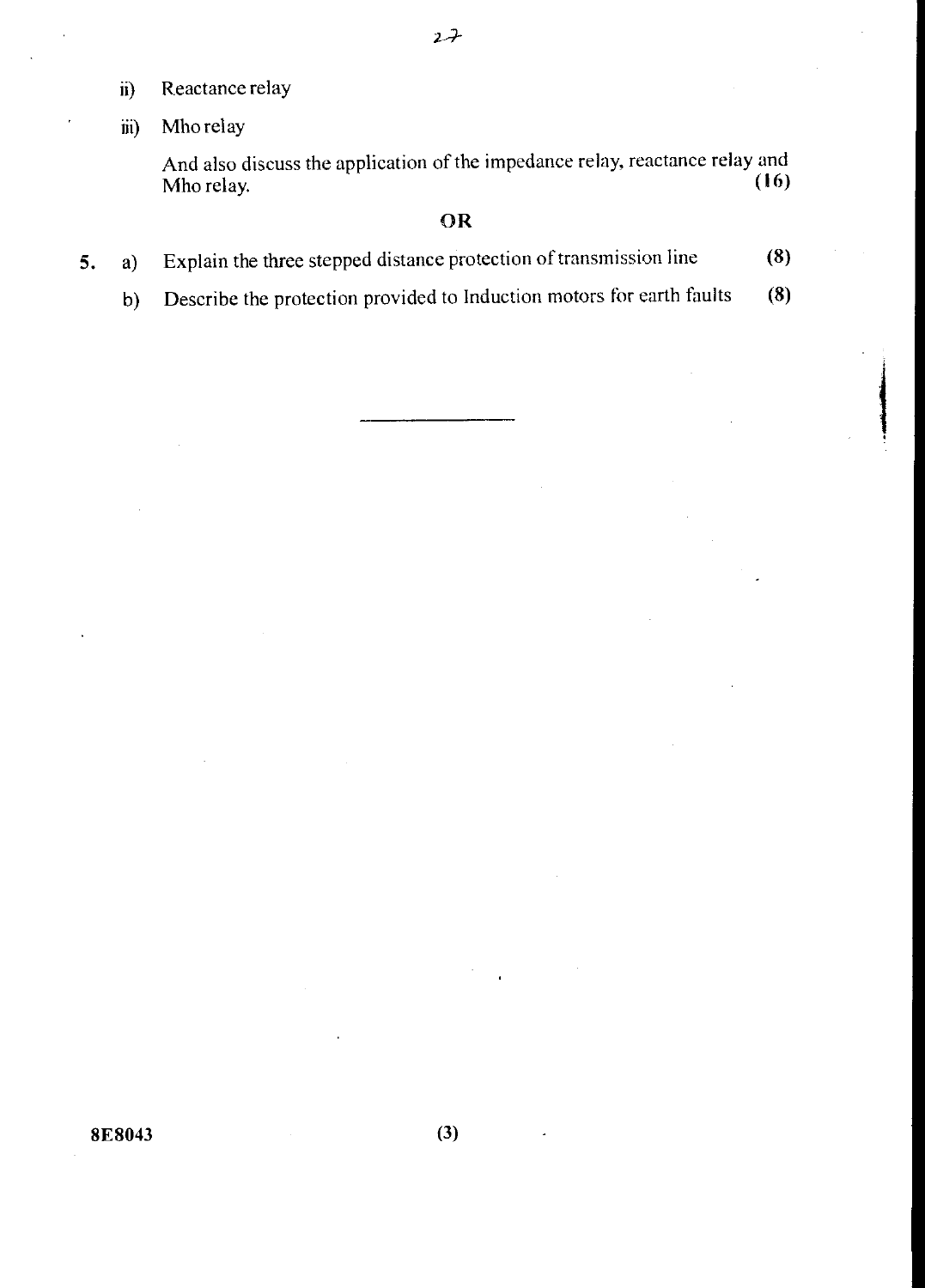- **ii) Reactance** relay
- iii) Mho relay

And also discuss the application of the impedance relay, reactance relay and Mho relay. **(16) (16)** 

# **OR**

- **5.** a) Explain the three stepped distance protection of transmission line **(8)** 
	- b) Describe the protection provided to Induction motors for earth faults **(8)**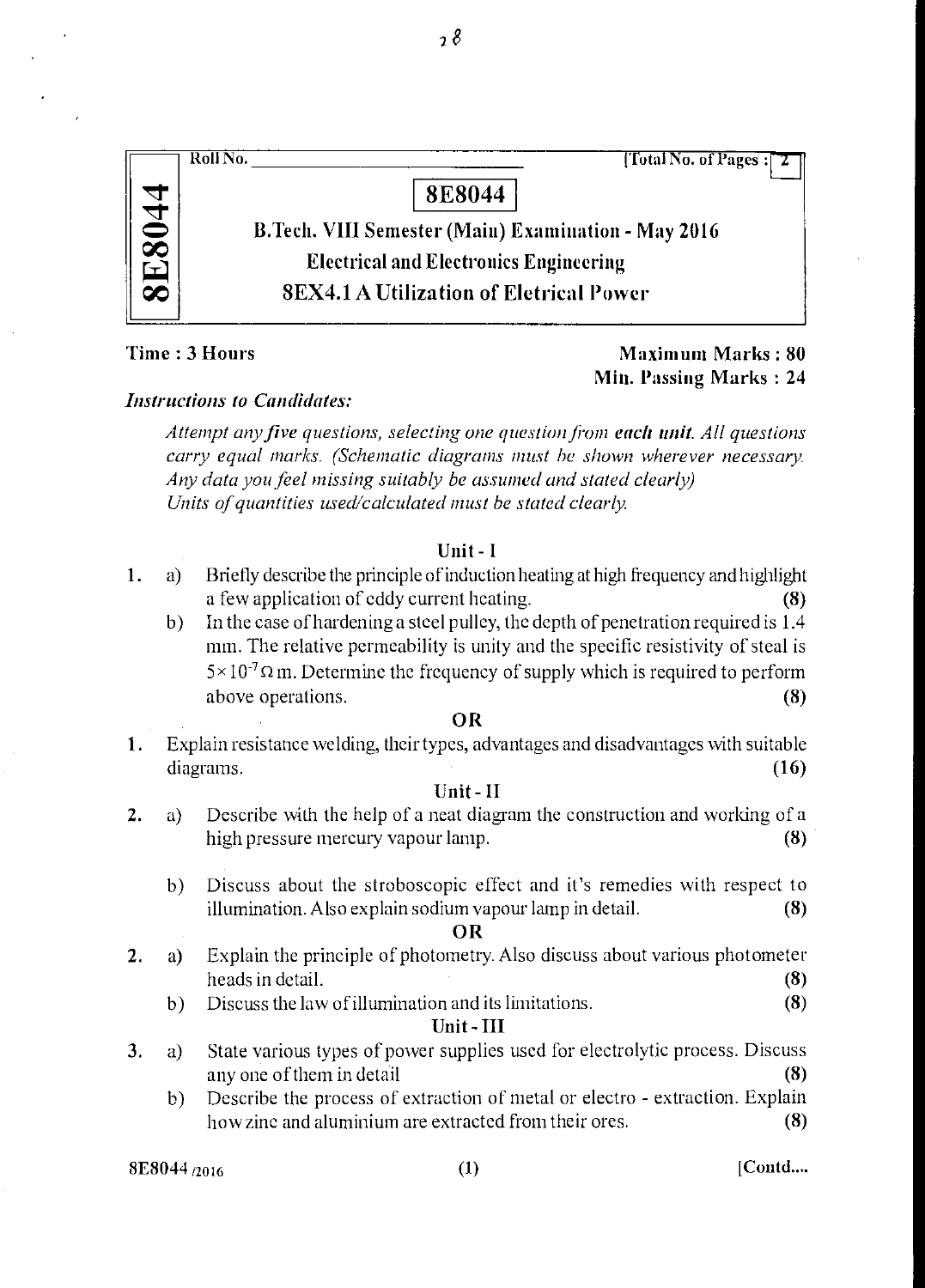| [Total No. of Pages:<br>Roll No.                           |
|------------------------------------------------------------|
| <b>8E8044</b>                                              |
| <b>B.Tech. VIII Semester (Main) Examination - May 2016</b> |
| <b>Electrical and Electronics Engineering</b>              |
| <b>8EX4.1 A Utilization of Eletrical Power</b>             |
|                                                            |

 $\overline{\phantom{a}}$   $\overline{\phantom{a}}$ 

# Time : 3 Hours Maximum Marks : 80 Min. Passing Marks : 24

# *Instructions to Candidates:*

*Attempt any five questions, selecting one question Jim each unit. All questions carry equal marks. (Schematic diagrams must he shown wherever necessary. Any data you feel missing suitably be assumed and stated clearly) Units of quantities used/calculated must be stated clearly.* 

# Unit - I

- 1. a) Briefly describe the principle of induction heating at high frequency and highlight a few application of eddy current heating. (8)
	- b) In the case of hardening a steel pulley, the depth of penetration required is 1.4 mm. The relative permeability is unity and the specific resistivity of steal is  $5 \times 10^{-7} \Omega$  m. Determine the frequency of supply which is required to perform above operations. (8)

# OR

1. Explain resistance welding, their types, advantages and disadvantages with suitable  $diagrams.$  (16)

# Unit - II

- 2. a) Describe with the help of a neat diagram the construction and working of a high pressure mercury vapour lamp. (8)
	- b) Discuss about the stroboscopic effect and it's remedies with respect to illumination. Also explain sodium vapour lamp in detail. (8)

### OR

- 2. a) Explain the principle of photometry. Also discuss about various photometer heads in detail. (8)<br>Discuss the law of illumination and its limitations. (8)
	- $b)$  Discuss the law of illumination and its limitations.

# Unit- III

- 3. a) State various types of power supplies used for electrolytic process. Discuss any one of them in detail  $(8)$ 
	- b) Describe the process of extraction of metal or electro extraction. Explain how zinc and aluminium are extracted from their ores. (8)

 $8E8044_{\{2016\}}$  (1) [Contd....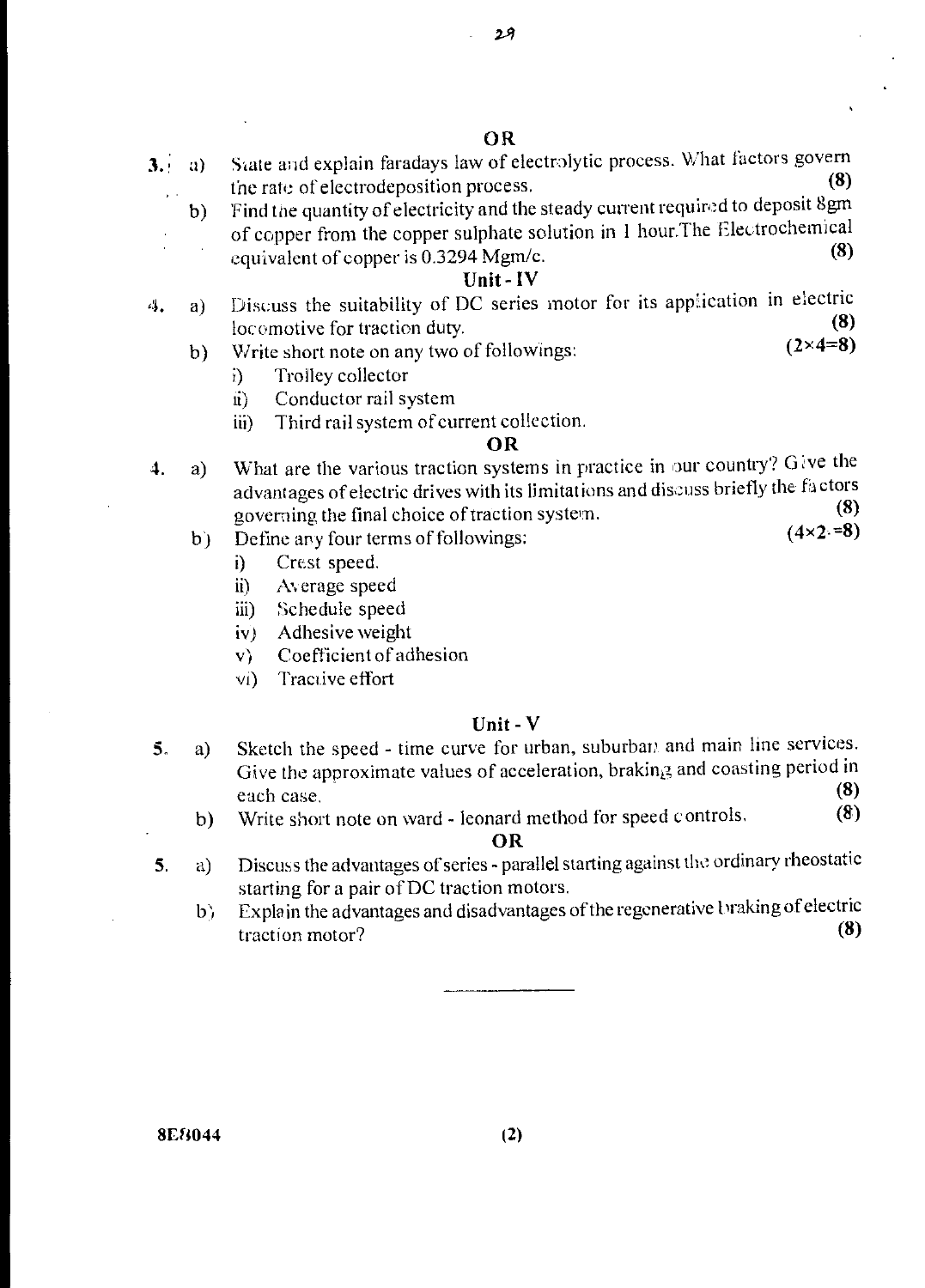- 3. (a) State and explain faradays law of electrolytic process. What factors govern the rate of electrodenession process. the rate of electrodeposition process.
	- b) 'Find the quantity of electricity and the steady current required to deposit 8gm of copper from the copper sulphate solution in 1 hour. The Electrochemical equivalent of copper is 0.3294 Mgm/c.

# Unit - IV

- 4. a) Discuss the suitability of DC series motor for its application in electric  $\frac{1000 \text{ m} \cdot \text{m}}{6}$ locomotive for traction duty. (8)<br>Write short note on any two of followings: (2×4=8)
	- b) Write short note on any two of followings:
		- i) Trolley collector
		- ii) Conductor rail system
		- iii) Third rail system of current collection.

### OR

- 4. a) What are the various traction systems in practice in our country? Give the advantages of electric drives with its limitations and discuss briefly the factors coversing the final choice of traction system (8) governing the final choice of traction system. (8)<br>Define any four terms of followings: (4×2=8)
	- b) Define any four terms of followings:
		- i) Crest speed.
		- ii) Average speed
		- iii) Schedule speed
		- iv) Adhesive weight
		- v) Coefficient of adhesion
		- vi) Tractive effort

### Unit - V

- 5. a) Sketch the speed time curve for urban, suburban and main line services. Give the approximate values of acceleration, braking and coasting period in Unit - V<br>Sketch the speed - time curve for urban, suburban and main line services.<br>Give the approximate values of acceleration, braking and coasting period in<br>each case. (8)<br>Write short note on ward - leonard method for sp
	- b) Write short note on ward leonard method for speed controls. (8)

### OR

- 5. a) Discuss the advantages of series parallel starting against the ordinary rheostatic starting for a pair of DC traction motors.
	- b) Explain the advantages and disadvantages of the regenerative braking of electric traction motor? traction motor?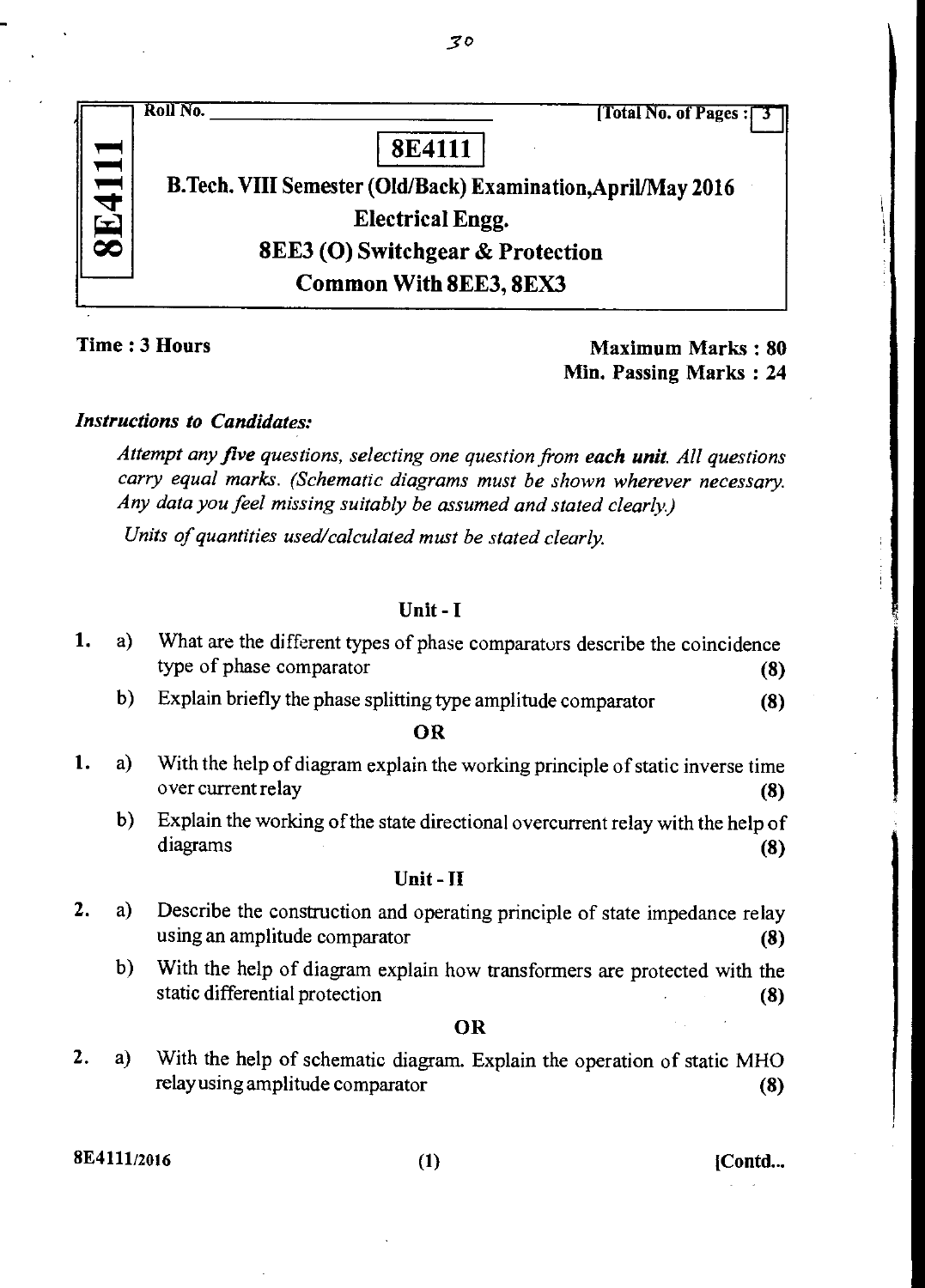|  | Roll No.<br>[Total No. of Pages:                             |
|--|--------------------------------------------------------------|
|  | <b>8E4111</b>                                                |
|  | B.Tech. VIII Semester (Old/Back) Examination, April/May 2016 |
|  | <b>Electrical Engg.</b>                                      |
|  | <b>8EE3 (O) Switchgear &amp; Protection</b>                  |
|  | <b>Common With 8EE3, 8EX3</b>                                |

Time : 3 Hours Maximum Marks : 80 Min. Passing Marks : 24

# *Instructions to Candidates:*

*Attempt any five questions, selecting one question from each unit. All questions carry equal marks. (Schematic diagrams must be shown wherever necessary. Any data you feel missing suitably be assumed and stated clearly)* 

*Units of quantities used/calculated must be stated clearly.* 

# Unit - I

| 1. | a) | What are the different types of phase comparators describe the coincidence<br>type of phase comparator<br>(8)      |
|----|----|--------------------------------------------------------------------------------------------------------------------|
|    | b) | Explain briefly the phase splitting type amplitude comparator<br>(8)                                               |
|    |    | OR                                                                                                                 |
| 1. | a) | With the help of diagram explain the working principle of static inverse time<br>over current relay<br>(8)         |
|    | b) | Explain the working of the state directional overcurrent relay with the help of<br>diagrams<br>(8)                 |
|    |    | $Unit - II$                                                                                                        |
|    | a) | Describe the construction and operating principle of state impedance relay<br>using an amplitude comparator<br>(8) |
|    | b) | With the help of diagram explain how transformers are protected with the<br>static differential protection<br>(8)  |
|    |    | <b>OR</b>                                                                                                          |
|    | a) | With the help of schematic diagram. Explain the operation of static MHO<br>relay using amplitude comparator<br>(8) |

 $8E4111/2016$  [Contd...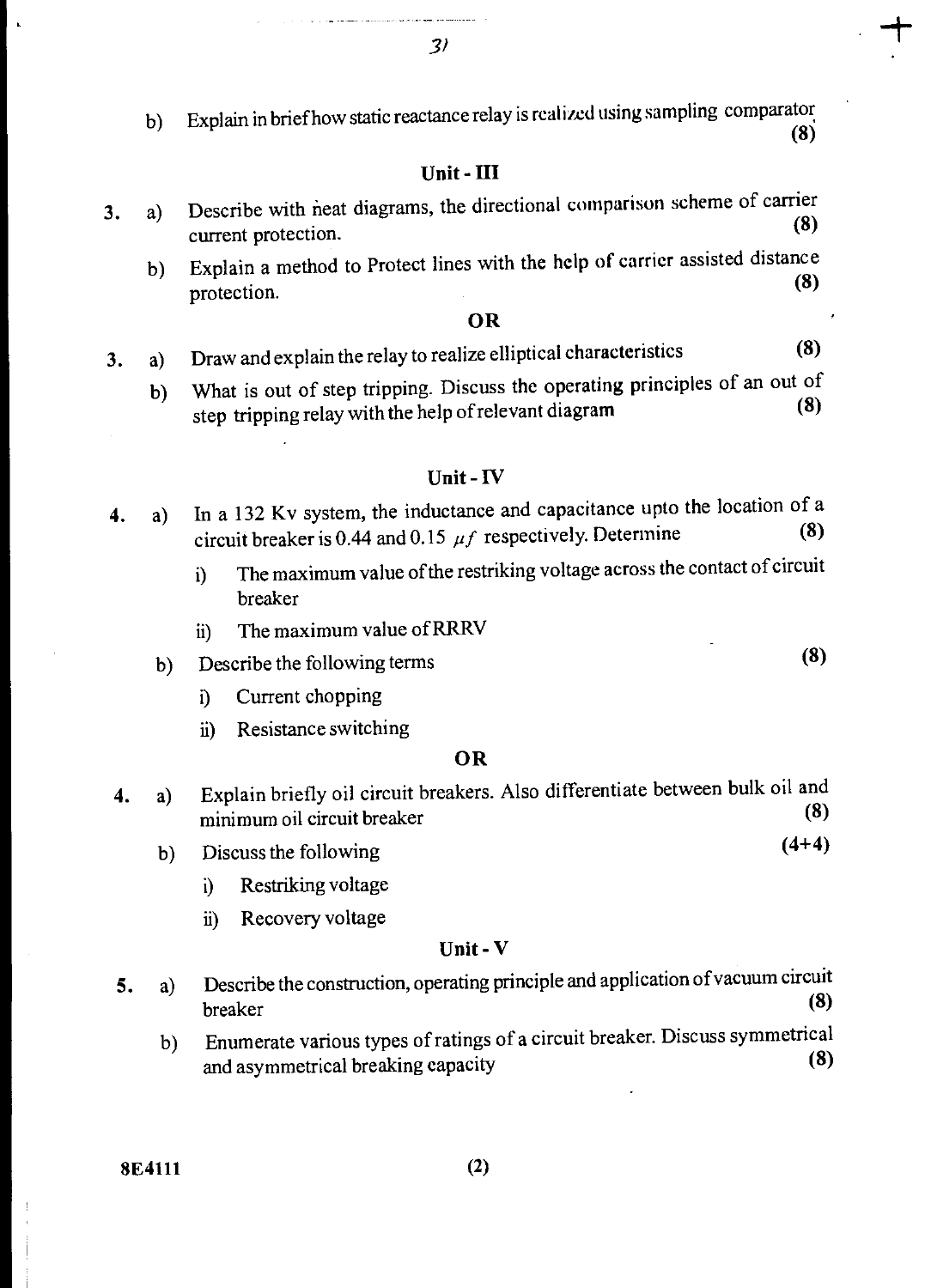b) Explain in brief how static reactance relay is realized using sampling comparator (8)

# Unit - III

- 3. a) Describe with neat diagrams, the directional comparison scheme of carrier  $\frac{1}{\text{current protection.}}$  (8)
	- b) Explain a method to Protect lines with the help of carrier assisted distance  $\frac{m}{2}$  protection. (8)

## **OR**

- 3. a) Draw and explain the relay to realize elliptical characteristics (8)
	- b) What is out of step tripping. Discuss the operating principles of an out of  $(8)$ step tripping relay with the help of relevant diagram

### Unit - IV

- 4. a) In a 132 Kv system, the inductance and capacitance upto the location of a<br>significance is 0.44 and 0.15  $\mu$  f respectively. Determine (8) circuit breaker is 0.44 and 0.15  $\mu f$  respectively. Determine
	- i) The maximum value of the restriking voltage across the contact of circuit breaker
	- ii) The maximum value of RRRV

# b) Describe the following terms (8)

- i) Current chopping
- Resistance switching  $\overline{11}$

### **OR**

- **4.** a) Explain briefly oil circuit breakers. Also differentiate between bulk oil and minimum oil circuit breaker (8)
	- b) Discuss the following **(4+4) (4+4)** 
		- i) Restriking voltage
		- ii) Recovery voltage

### **Unit - V**

- **5.** a) Describe the construction, operating principle and application of vacuum circuit breaker **(8) (8)** 
	- b) Enumerate various types of ratings of a circuit breaker. Discuss symmetrical<br>and asymmetrical breaking canacity (8) and asymmetrical breaking capacity **(8)**

**8E4111** (2)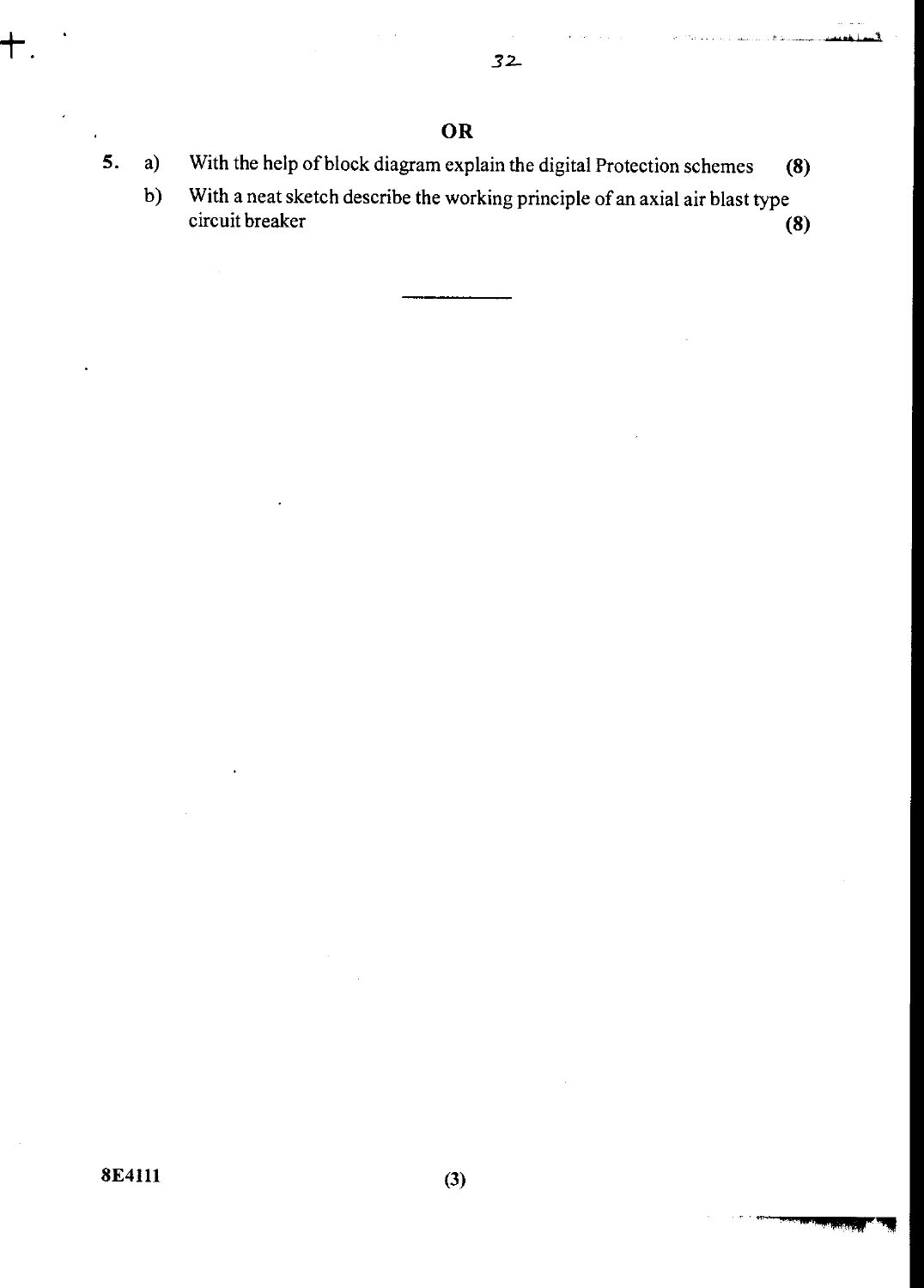- **5.** a) With the help of block diagram explain the digital Protection schemes **(8)** 
	- b) With a neat sketch describe the working principle of an axial air blast type circuit breaker **(8) (8)**

**8E4111 (3)**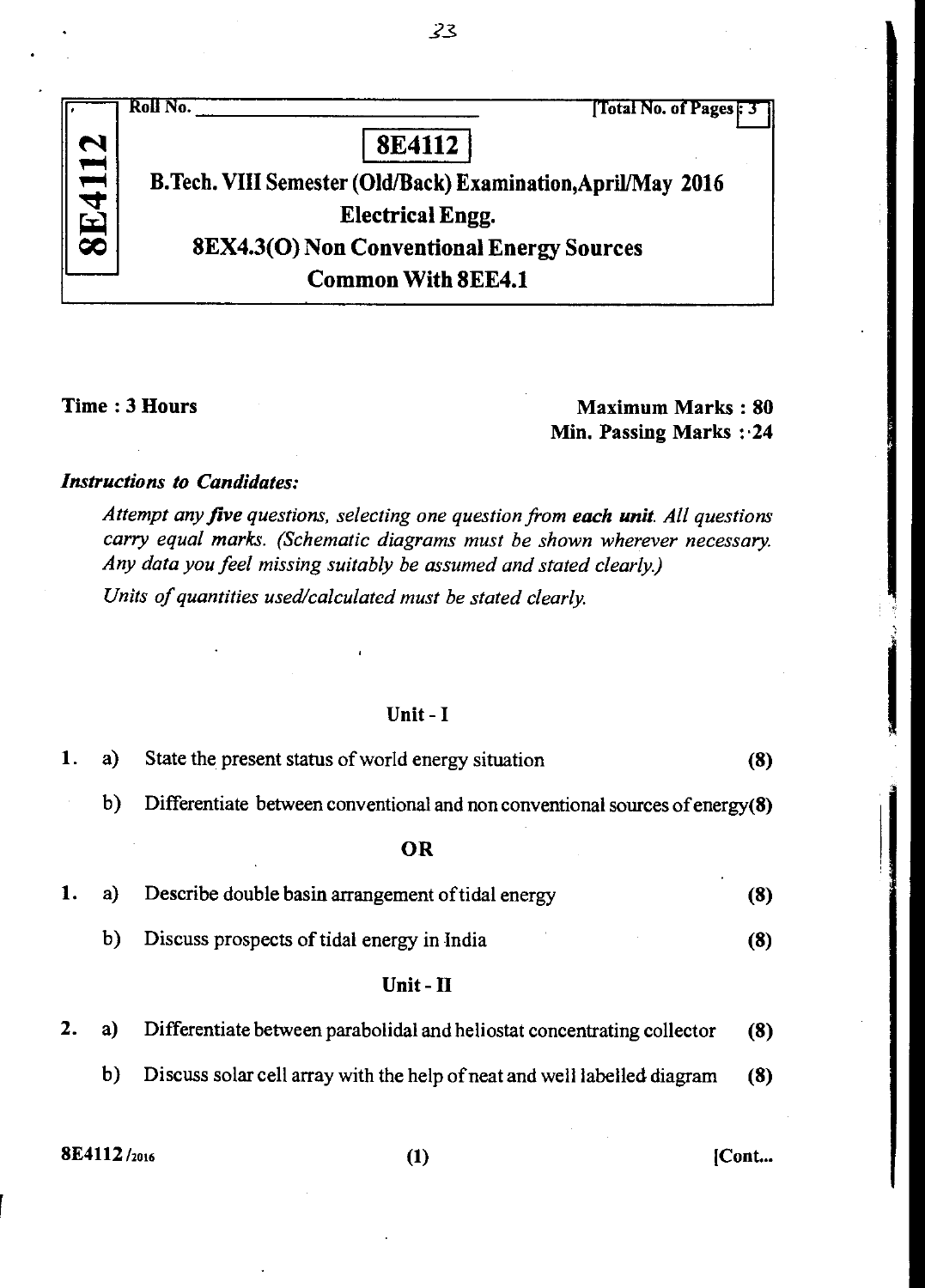|                                             | Roll No.<br>[Total No. of Pages : 3                          |
|---------------------------------------------|--------------------------------------------------------------|
|                                             | <b>8E4112</b>                                                |
| 11 <del>.</del><br><b>Contract Contract</b> | B.Tech. VIII Semester (Old/Back) Examination, April/May 2016 |
|                                             | <b>Electrical Engg.</b>                                      |
|                                             | <b>8EX4.3(O) Non Conventional Energy Sources</b>             |
|                                             | <b>Common With 8EE4.1</b>                                    |

# Time : 3 Hours Maximum Marks : 80 **Min. Passing Marks : 24**

# *Instructions to Candidates:*

*Attempt any five questions, selecting one question from each unit. All questions carry equal marks. (Schematic diagrams must be shown wherever necessary. Any data you feel missing suitably be assumed and stated clearly)* 

*Units of quantities used/calculated must be stated clearly.* 

# Unit - **I**

| 1. | a)          | State the present status of world energy situation                           | (8)   |
|----|-------------|------------------------------------------------------------------------------|-------|
|    | b)          | Differentiate between conventional and non conventional sources of energy(8) |       |
|    |             | OR                                                                           |       |
| ı. | a)          | Describe double basin arrangement of tidal energy                            | (8)   |
|    | b)          | Discuss prospects of tidal energy in India                                   | (3)   |
|    |             | $Unit - II$                                                                  |       |
| 2. | a)          | Differentiate between parabolidal and heliostat concentrating collector      | (8)   |
|    | b)          | Discuss solar cell array with the help of neat and well labelled diagram     | (8)   |
|    |             |                                                                              |       |
|    | 8E4112/2016 | (1)                                                                          | [Cont |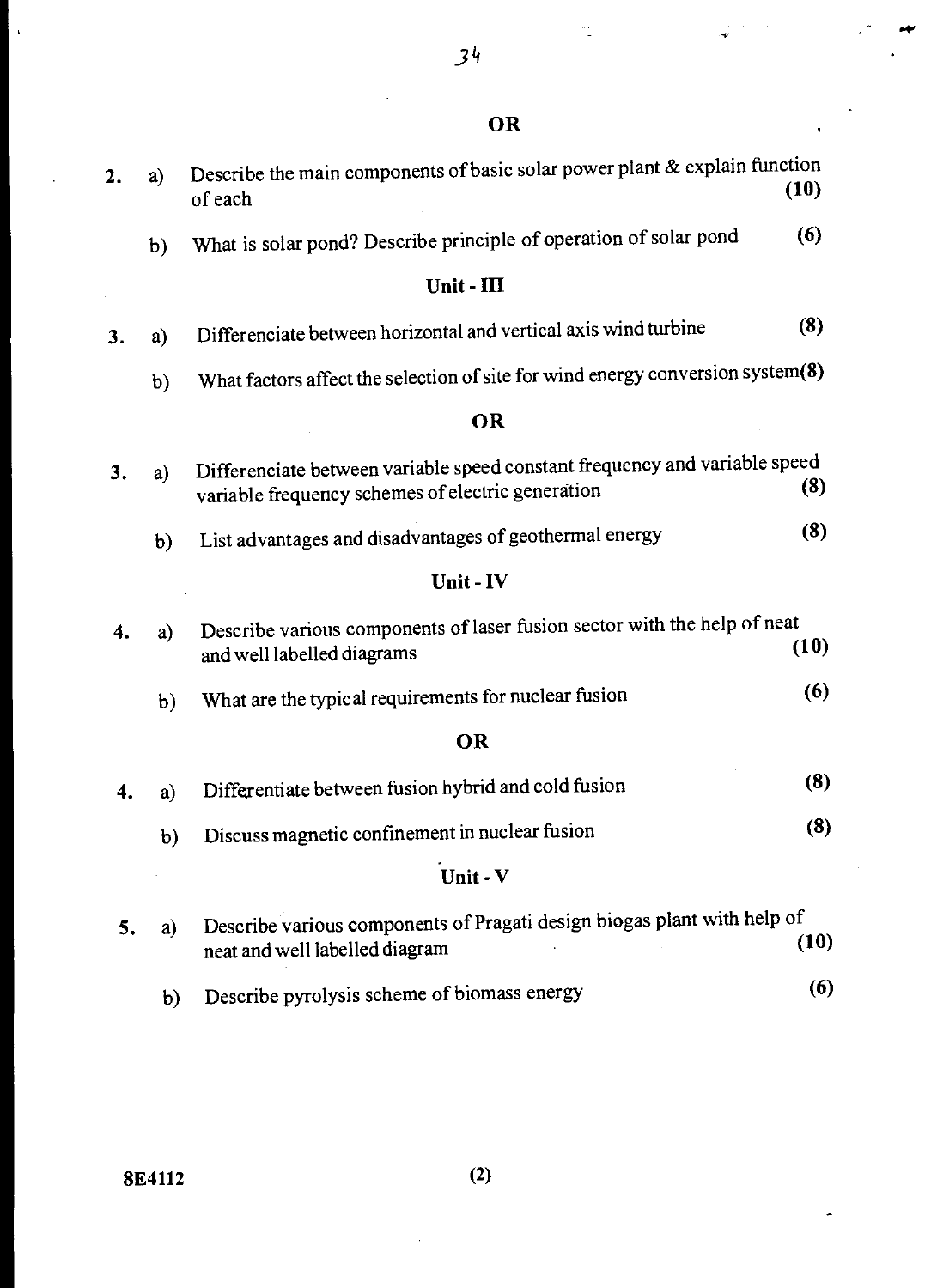$34$ 

 $\frac{1}{2}$ 

St#

43

 $\ddot{\phantom{0}}$ 

| 2. | a)           | Describe the main components of basic solar power plant & explain function<br>of each                                           | (10) |
|----|--------------|---------------------------------------------------------------------------------------------------------------------------------|------|
|    | b)           | What is solar pond? Describe principle of operation of solar pond                                                               | (6)  |
|    |              | Unit - III                                                                                                                      |      |
| 3. | a)           | Differenciate between horizontal and vertical axis wind turbine                                                                 | (8)  |
|    | $\mathbf b)$ | What factors affect the selection of site for wind energy conversion system(8)                                                  |      |
|    |              | OR                                                                                                                              |      |
| 3. | a)           | Differenciate between variable speed constant frequency and variable speed<br>variable frequency schemes of electric generation | (8)  |
|    | b)           | List advantages and disadvantages of geothermal energy                                                                          | (8)  |
|    |              | Unit - IV                                                                                                                       |      |
| 4. | a)           | Describe various components of laser fusion sector with the help of neat<br>and well labelled diagrams                          | (10) |
|    | b)           | What are the typical requirements for nuclear fusion                                                                            | (6)  |
|    |              | OR                                                                                                                              |      |
| 4. | a)           | Differentiate between fusion hybrid and cold fusion                                                                             | (8)  |
|    | b)           | Discuss magnetic confinement in nuclear fusion                                                                                  | (8)  |
|    |              | Unit - V                                                                                                                        |      |
| 5. | a)           | Describe various components of Pragati design biogas plant with help of<br>neat and well labelled diagram                       | (10) |
|    | b)           | Describe pyrolysis scheme of biomass energy                                                                                     | (6)  |

 $\bar{\mathbf{r}}$